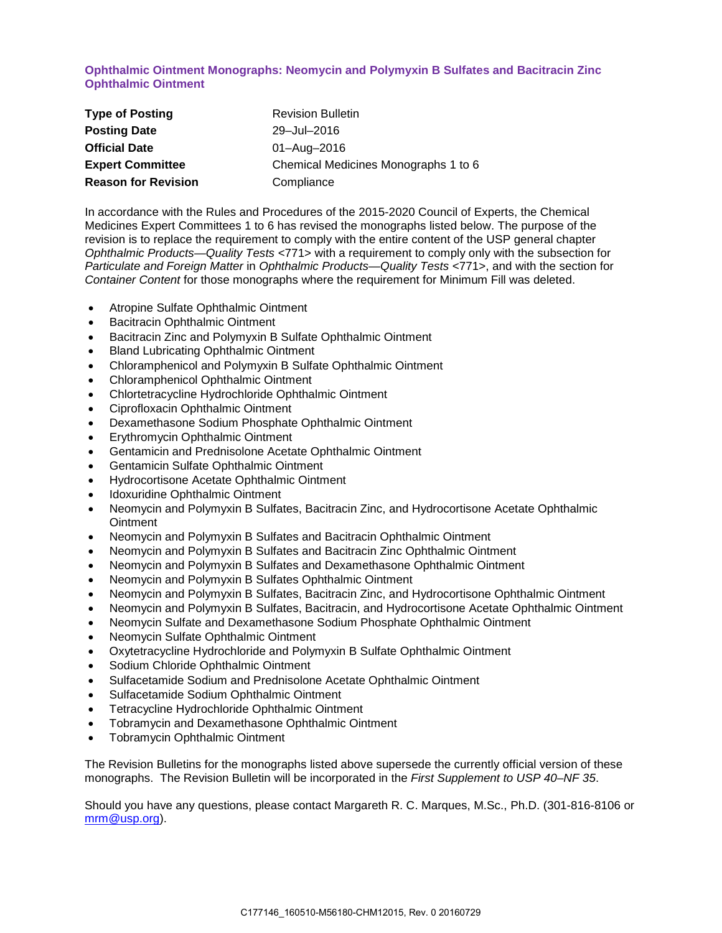### **Ophthalmic Ointment Monographs: Neomycin and Polymyxin B Sulfates and Bacitracin Zinc Ophthalmic Ointment**

| <b>Type of Posting</b>     | <b>Revision Bulletin</b>             |
|----------------------------|--------------------------------------|
| <b>Posting Date</b>        | 29-Jul-2016                          |
| <b>Official Date</b>       | 01-Aug-2016                          |
| <b>Expert Committee</b>    | Chemical Medicines Monographs 1 to 6 |
| <b>Reason for Revision</b> | Compliance                           |

In accordance with the Rules and Procedures of the 2015-2020 Council of Experts, the Chemical Medicines Expert Committees 1 to 6 has revised the monographs listed below. The purpose of the revision is to replace the requirement to comply with the entire content of the USP general chapter *Ophthalmic Products—Quality Tests* <771> with a requirement to comply only with the subsection for *Particulate and Foreign Matter* in *Ophthalmic Products—Quality Tests* <771>, and with the section for *Container Content* for those monographs where the requirement for Minimum Fill was deleted.

- Atropine Sulfate Ophthalmic Ointment
- Bacitracin Ophthalmic Ointment
- Bacitracin Zinc and Polymyxin B Sulfate Ophthalmic Ointment
- Bland Lubricating Ophthalmic Ointment
- Chloramphenicol and Polymyxin B Sulfate Ophthalmic Ointment
- Chloramphenicol Ophthalmic Ointment
- Chlortetracycline Hydrochloride Ophthalmic Ointment
- Ciprofloxacin Ophthalmic Ointment
- Dexamethasone Sodium Phosphate Ophthalmic Ointment
- Erythromycin Ophthalmic Ointment
- Gentamicin and Prednisolone Acetate Ophthalmic Ointment
- Gentamicin Sulfate Ophthalmic Ointment
- Hydrocortisone Acetate Ophthalmic Ointment
- Idoxuridine Ophthalmic Ointment
- Neomycin and Polymyxin B Sulfates, Bacitracin Zinc, and Hydrocortisone Acetate Ophthalmic **Ointment**
- Neomycin and Polymyxin B Sulfates and Bacitracin Ophthalmic Ointment
- Neomycin and Polymyxin B Sulfates and Bacitracin Zinc Ophthalmic Ointment
- Neomycin and Polymyxin B Sulfates and Dexamethasone Ophthalmic Ointment
- Neomycin and Polymyxin B Sulfates Ophthalmic Ointment
- Neomycin and Polymyxin B Sulfates, Bacitracin Zinc, and Hydrocortisone Ophthalmic Ointment
- Neomycin and Polymyxin B Sulfates, Bacitracin, and Hydrocortisone Acetate Ophthalmic Ointment
- Neomycin Sulfate and Dexamethasone Sodium Phosphate Ophthalmic Ointment
- Neomycin Sulfate Ophthalmic Ointment
- Oxytetracycline Hydrochloride and Polymyxin B Sulfate Ophthalmic Ointment
- Sodium Chloride Ophthalmic Ointment
- Sulfacetamide Sodium and Prednisolone Acetate Ophthalmic Ointment
- Sulfacetamide Sodium Ophthalmic Ointment
- Tetracycline Hydrochloride Ophthalmic Ointment
- Tobramycin and Dexamethasone Ophthalmic Ointment
- Tobramycin Ophthalmic Ointment

The Revision Bulletins for the monographs listed above supersede the currently official version of these monographs. The Revision Bulletin will be incorporated in the *First Supplement to USP 40–NF 35*.

Should you have any questions, please contact Margareth R. C. Marques, M.Sc., Ph.D. (301-816-8106 or [mrm@usp.org\)](mailto:mrm@usp.org).